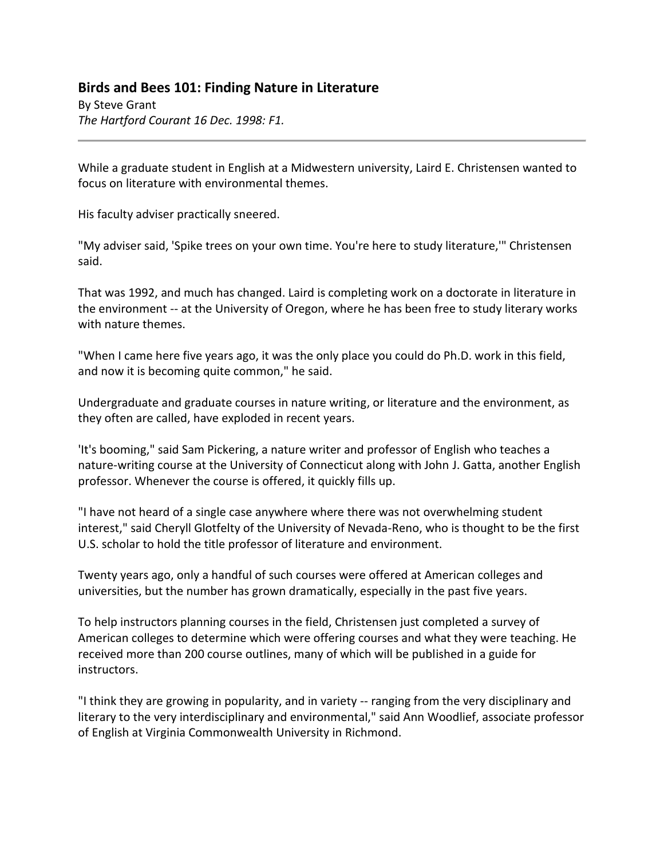## **Birds and Bees 101: Finding Nature in Literature**

By Steve Grant *The Hartford Courant 16 Dec. 1998: F1.*

While a graduate student in English at a Midwestern university, Laird E. Christensen wanted to focus on literature with environmental themes.

His faculty adviser practically sneered.

"My adviser said, 'Spike trees on your own time. You're here to study literature,'" Christensen said.

That was 1992, and much has changed. Laird is completing work on a doctorate in literature in the environment -- at the University of Oregon, where he has been free to study literary works with nature themes.

"When I came here five years ago, it was the only place you could do Ph.D. work in this field, and now it is becoming quite common," he said.

Undergraduate and graduate courses in nature writing, or literature and the environment, as they often are called, have exploded in recent years.

'It's booming," said Sam Pickering, a nature writer and professor of English who teaches a nature-writing course at the University of Connecticut along with John J. Gatta, another English professor. Whenever the course is offered, it quickly fills up.

"I have not heard of a single case anywhere where there was not overwhelming student interest," said Cheryll Glotfelty of the University of Nevada-Reno, who is thought to be the first U.S. scholar to hold the title professor of literature and environment.

Twenty years ago, only a handful of such courses were offered at American colleges and universities, but the number has grown dramatically, especially in the past five years.

To help instructors planning courses in the field, Christensen just completed a survey of American colleges to determine which were offering courses and what they were teaching. He received more than 200 course outlines, many of which will be published in a guide for instructors.

"I think they are growing in popularity, and in variety -- ranging from the very disciplinary and literary to the very interdisciplinary and environmental," said Ann Woodlief, associate professor of English at Virginia Commonwealth University in Richmond.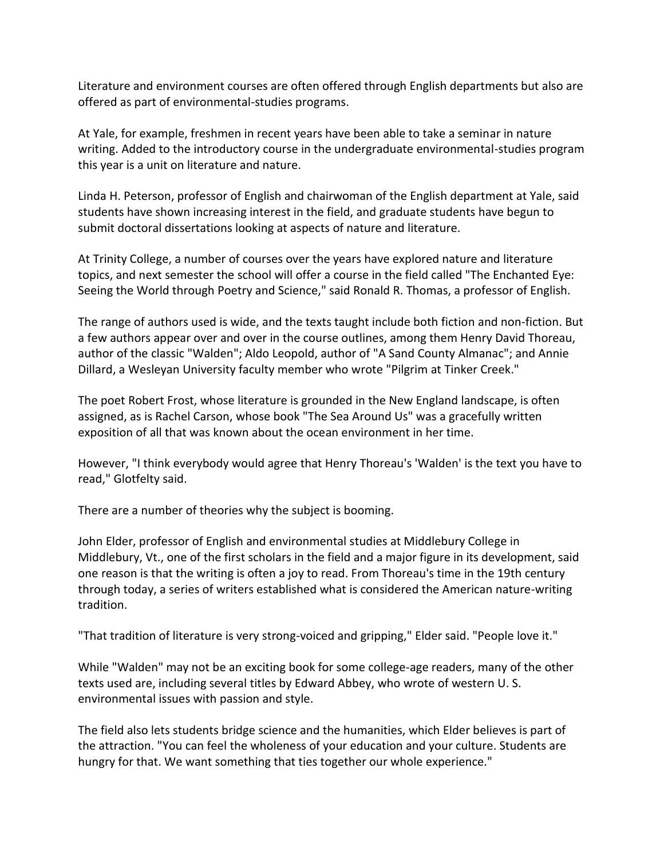Literature and environment courses are often offered through English departments but also are offered as part of environmental-studies programs.

At Yale, for example, freshmen in recent years have been able to take a seminar in nature writing. Added to the introductory course in the undergraduate environmental-studies program this year is a unit on literature and nature.

Linda H. Peterson, professor of English and chairwoman of the English department at Yale, said students have shown increasing interest in the field, and graduate students have begun to submit doctoral dissertations looking at aspects of nature and literature.

At Trinity College, a number of courses over the years have explored nature and literature topics, and next semester the school will offer a course in the field called "The Enchanted Eye: Seeing the World through Poetry and Science," said Ronald R. Thomas, a professor of English.

The range of authors used is wide, and the texts taught include both fiction and non-fiction. But a few authors appear over and over in the course outlines, among them Henry David Thoreau, author of the classic "Walden"; Aldo Leopold, author of "A Sand County Almanac"; and Annie Dillard, a Wesleyan University faculty member who wrote "Pilgrim at Tinker Creek."

The poet Robert Frost, whose literature is grounded in the New England landscape, is often assigned, as is Rachel Carson, whose book "The Sea Around Us" was a gracefully written exposition of all that was known about the ocean environment in her time.

However, "I think everybody would agree that Henry Thoreau's 'Walden' is the text you have to read," Glotfelty said.

There are a number of theories why the subject is booming.

John Elder, professor of English and environmental studies at Middlebury College in Middlebury, Vt., one of the first scholars in the field and a major figure in its development, said one reason is that the writing is often a joy to read. From Thoreau's time in the 19th century through today, a series of writers established what is considered the American nature-writing tradition.

"That tradition of literature is very strong-voiced and gripping," Elder said. "People love it."

While "Walden" may not be an exciting book for some college-age readers, many of the other texts used are, including several titles by Edward Abbey, who wrote of western U. S. environmental issues with passion and style.

The field also lets students bridge science and the humanities, which Elder believes is part of the attraction. "You can feel the wholeness of your education and your culture. Students are hungry for that. We want something that ties together our whole experience."